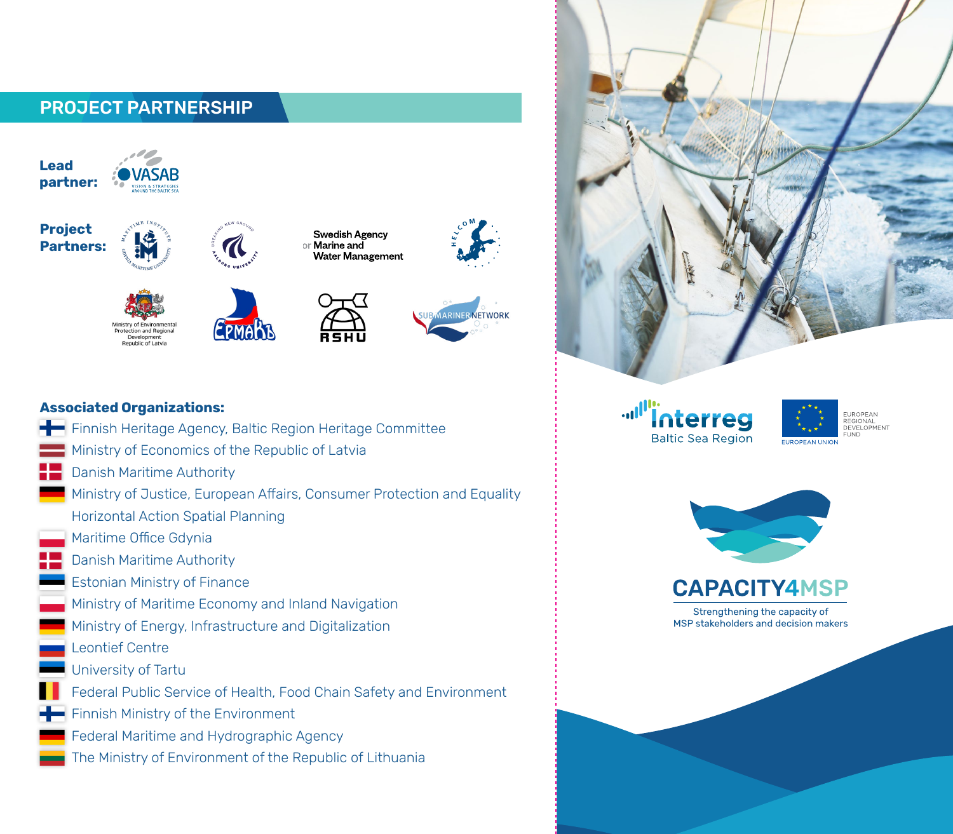# PROJECT PARTNERSHIP









EPMARB











### **Associated Organizations:**

Ministry of Environment:

rotection and Regio Development<br>Republic of Latvia

 $\overline{\phantom{a}}$  Finnish Heritage Agency, Baltic Region Heritage Committee Ministry of Economics of the Republic of Latvia Danish Maritime Authority Ministry of Justice, European Affairs, Consumer Protection and Equality Horizontal Action Spatial Planning Maritime Office Gdynia Danish Maritime Authority Estonian Ministry of Finance Ministry of Maritime Economy and Inland Navigation Ministry of Energy, Infrastructure and Digitalization Leontief Centre University of Tartu Federal Public Service of Health, Food Chain Safety and Environment Finnish Ministry of the Environment Federal Maritime and Hydrographic Agency The Ministry of Environment of the Republic of Lithuania

""""nterreg **Baltic Sea Region** 





**CAPACITY4MSP** 

Strengthening the capacity of MSP stakeholders and decision makers